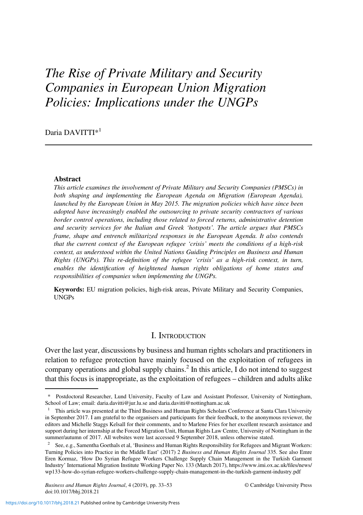# The Rise of Private Military and Security Companies in European Union Migration Policies: Implications under the UNGPs

Daria DAVITTI\*1

#### Abstract

This article examines the involvement of Private Military and Security Companies (PMSCs) in both shaping and implementing the European Agenda on Migration (European Agenda), launched by the European Union in May 2015. The migration policies which have since been adopted have increasingly enabled the outsourcing to private security contractors of various border control operations, including those related to forced returns, administrative detention and security services for the Italian and Greek 'hotspots'. The article argues that PMSCs frame, shape and entrench militarized responses in the European Agenda. It also contends that the current context of the European refugee 'crisis' meets the conditions of a high-risk context, as understood within the United Nations Guiding Principles on Business and Human Rights (UNGPs). This re-definition of the refugee 'crisis' as a high-risk context, in turn, enables the identification of heightened human rights obligations of home states and responsibilities of companies when implementing the UNGPs.

Keywords: EU migration policies, high-risk areas, Private Military and Security Companies, UNGPs

## I. INTRODUCTION

Over the last year, discussions by business and human rights scholars and practitioners in relation to refugee protection have mainly focused on the exploitation of refugees in company operations and global supply chains.<sup>2</sup> In this article, I do not intend to suggest that this focus is inappropriate, as the exploitation of refugees – children and adults alike

<sup>\*</sup> Postdoctoral Researcher, Lund University, Faculty of Law and Assistant Professor, University of Nottingham, School of Law; email: [daria.davitti@jur.lu.se](mailto:daria.davitti@jur.lu.se) and [daria.davitti@nottingham.ac.uk](mailto:daria.davitti@nottingham.ac.uk)

<sup>1</sup> This article was presented at the Third Business and Human Rights Scholars Conference at Santa Clara University in September 2017. I am grateful to the organisers and participants for their feedback, to the anonymous reviewer, the editors and Michelle Staggs Kelsall for their comments, and to Marlene Fries for her excellent research assistance and support during her internship at the Forced Migration Unit, Human Rights Law Centre, University of Nottingham in the summer/autumn of 2017. All websites were last accessed 9 September 2018, unless otherwise stated.

<sup>&</sup>lt;sup>2</sup> See, e.g., Samentha Goethals et al, 'Business and Human Rights Responsibility for Refugees and Migrant Workers: Turning Policies into Practice in the Middle East' (2017) 2 Business and Human Rights Journal 335. See also Emre Eren Kormaz, 'How Do Syrian Refugee Workers Challenge Supply Chain Management in the Turkish Garment Industry' International Migration Institute Working Paper No. 133 (March 2017), [https://www.imi.ox.ac.uk/](https://www.imi.ox.ac.uk/files/news/wp133-how-do-syrian-refugee-workers-challenge-supply-chain-management-in-the-turkish-garment-industry.pdf)files/news/ [wp133-how-do-syrian-refugee-workers-challenge-supply-chain-management-in-the-turkish-garment-industry.pdf](https://www.imi.ox.ac.uk/files/news/wp133-how-do-syrian-refugee-workers-challenge-supply-chain-management-in-the-turkish-garment-industry.pdf)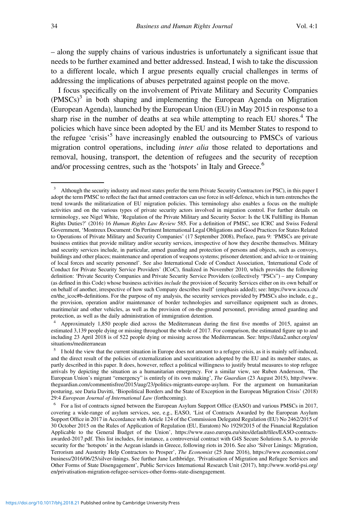– along the supply chains of various industries is unfortunately a significant issue that needs to be further examined and better addressed. Instead, I wish to take the discussion to a different locale, which I argue presents equally crucial challenges in terms of addressing the implications of abuses perpetrated against people on the move.

I focus specifically on the involvement of Private Military and Security Companies  $(PMSCs)^3$  in both shaping and implementing the European Agenda on Migration (European Agenda), launched by the European Union (EU) in May 2015 in response to a sharp rise in the number of deaths at sea while attempting to reach EU shores.<sup>4</sup> The policies which have since been adopted by the EU and its Member States to respond to the refugee 'crisis'<sup>5</sup> have increasingly enabled the outsourcing to PMSCs of various migration control operations, including inter alia those related to deportations and removal, housing, transport, the detention of refugees and the security of reception and/or processing centres, such as the 'hotspots' in Italy and Greece.<sup>6</sup>

<sup>4</sup> Approximately 1,850 people died across the Mediterranean during the first five months of 2015, against an estimated 3,139 people dying or missing throughout the whole of 2017. For comparison, the estimated figure up to and including 23 April 2018 is of 522 people dying or missing across the Mediterranean. See: [https://data2.unhcr.org/en/](https://data2.unhcr.org/en/situations/mediterranean) [situations/mediterranean](https://data2.unhcr.org/en/situations/mediterranean)

<sup>3</sup> Although the security industry and most states prefer the term Private Security Contractors (or PSC), in this paper I adopt the term PMSC to reflect the fact that armed contractors can use force in self-defence, which in turn entrenches the trend towards the militarization of EU migration policies. This terminology also enables a focus on the multiple activities and on the various types of private security actors involved in migration control. For further details on terminology, see Nigel White, 'Regulation of the Private Military and Security Sector: Is the UK Fulfilling its Human Rights Duties?' (2016) 16 Human Rights Law Review 585. For a definition of PMSC, see ICRC and Swiss Federal Government, 'Montreux Document: On Pertinent International Legal Obligations and Good Practices for States Related to Operations of Private Military and Security Companies' (17 September 2008), Preface, para 9: 'PMSCs are private business entities that provide military and/or security services, irrespective of how they describe themselves. Military and security services include, in particular, armed guarding and protection of persons and objects, such as convoys, buildings and other places; maintenance and operation of weapons systems; prisoner detention; and advice to or training of local forces and security personnel'. See also International Code of Conduct Association, 'International Code of Conduct for Private Security Service Providers' (ICoC), finalized in November 2010, which provides the following definition: 'Private Security Companies and Private Security Service Providers (collectively "PSCs") – any Company (as defined in this Code) whose business activities include the provision of Security Services either on its own behalf or on behalf of another, irrespective of how such Company describes itself' (emphasis added); see: [https://www.icoca.ch/](https://www.icoca.ch/en/the_icoc#b-definitions) [en/the\\_icoc#b-de](https://www.icoca.ch/en/the_icoc#b-definitions)finitions. For the purpose of my analysis, the security services provided by PMSCs also include, e.g., the provision, operation and/or maintenance of border technologies and surveillance equipment such as drones, maritime/air and other vehicles, as well as the provision of on-the-ground personnel, providing armed guarding and protection, as well as the daily administration of immigration detention.

<sup>&</sup>lt;sup>5</sup> I hold the view that the current situation in Europe does not amount to a refugee crisis, as it is mainly self-induced, and the direct result of the policies of externalization and securitization adopted by the EU and its member states, as partly described in this paper. It does, however, reflect a political willingness to justify brutal measures to stop refugee arrivals by depicting the situation as a humanitarian emergency. For a similar view, see Ruben Andersson, 'The European Union's migrant "emergency" is entirely of its own making', The Guardian (23 August 2015), [http://www.](http://www.theguardian.com/commentisfree/2015/aug/23/politics-migrants-europe-asylum) [theguardian.com/commentisfree/2015/aug/23/politics-migrants-europe-asylum](http://www.theguardian.com/commentisfree/2015/aug/23/politics-migrants-europe-asylum). For the argument on humanitarian posturing, see Daria Davitti, 'Biopolitical Borders and the State of Exception in the European Migration Crisis' (2018) 29:4 European Journal of International Law (forthcoming).

For a list of contracts signed between the European Asylum Support Office (EASO) and various PMSCs in 2017, covering a wide-range of asylum services, see, e.g., EASO, 'List of Contracts Awarded by the European Asylum Support Office in 2017 in Accordance with Article 124 of the Commission Delegated Regulation (EU) No 2462/2015 of 30 October 2015 on the Rules of Application of Regulation (EU, Euratom) No 1929/2015 of the Financial Regulation Applicable to the General Budget of the Union', [https://www.easo.europa.eu/sites/default/](https://www.easo.europa.eu/sites/default/files/EASO-contracts-awarded-2017.pdf)files/EASO-contracts[awarded-2017.pdf](https://www.easo.europa.eu/sites/default/files/EASO-contracts-awarded-2017.pdf). This list includes, for instance, a controversial contract with G4S Secure Solutions S.A. to provide security for the 'hotspots' in the Aegean islands in Greece, following riots in 2016. See also 'Silver Linings: Migration, Terrorism and Austerity Help Contractors to Prosper', The Economist (25 June 2016), [https://www.economist.com/](https://www.economist.com/business/2016�/�06/25/silver-linings) [business/2016/06/25/silver-linings.](https://www.economist.com/business/2016�/�06/25/silver-linings) See further Jane Lethbridge, 'Privatisation of Migration and Refugee Services and Other Forms of State Disengagement', Public Services International Research Unit (2017), [http://www.world-psi.org/](http://www.world-psi.org/en/privatisation-migration-refugee-services-other-forms-state-disengagement) [en/privatisation-migration-refugee-services-other-forms-state-disengagement.](http://www.world-psi.org/en/privatisation-migration-refugee-services-other-forms-state-disengagement)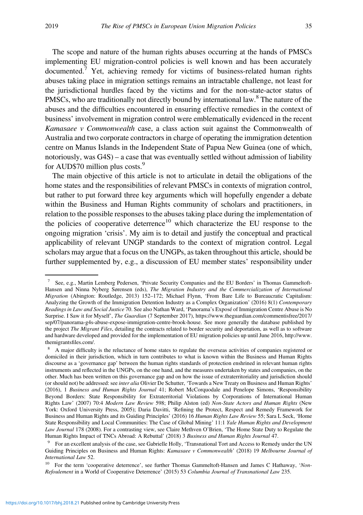The scope and nature of the human rights abuses occurring at the hands of PMSCs implementing EU migration-control policies is well known and has been accurately documented.7 Yet, achieving remedy for victims of business-related human rights abuses taking place in migration settings remains an intractable challenge, not least for the jurisdictional hurdles faced by the victims and for the non-state-actor status of PMSCs, who are traditionally not directly bound by international law.<sup>8</sup> The nature of the abuses and the difficulties encountered in ensuring effective remedies in the context of business' involvement in migration control were emblematically evidenced in the recent Kamasaee v Commonwealth case, a class action suit against the Commonwealth of Australia and two corporate contractors in charge of operating the immigration detention centre on Manus Islands in the Independent State of Papua New Guinea (one of which, notoriously, was G4S) – a case that was eventually settled without admission of liability for AUD\$70 million plus costs.<sup>9</sup>

The main objective of this article is not to articulate in detail the obligations of the home states and the responsibilities of relevant PMSCs in contexts of migration control, but rather to put forward three key arguments which will hopefully engender a debate within the Business and Human Rights community of scholars and practitioners, in relation to the possible responses to the abuses taking place during the implementation of the policies of cooperative deterrence<sup>10</sup> which characterize the EU response to the ongoing migration 'crisis'. My aim is to detail and justify the conceptual and practical applicability of relevant UNGP standards to the context of migration control. Legal scholars may argue that a focus on the UNGPs, as taken throughout this article, should be further supplemented by, e.g., a discussion of EU member states' responsibility under

<sup>7</sup> See, e.g., Martin Lemberg Pedersen, 'Private Security Companies and the EU Borders' in Thomas Gammeltoft-Hansen and Ninna Nyberg Sørensen (eds), The Migration Industry and the Commercialization of International Migration (Abington: Routledge, 2013) 152–172; Michael Flynn, 'From Bare Life to Bureaucratic Capitalism: Analyzing the Growth of the Immigration Detention Industry as a Complex Organization' (2016) 8(1) Contemporary Readings in Law and Social Justice 70. See also Nathan Ward, 'Panorama's Exposé of Immigration Centre Abuse is No Surprise. I Saw it for Myself', The Guardian (7 September 2017), [https://www.theguardian.com/commentisfree/2017/](https://www.theguardian.com/commentisfree/2017/sep/07/panorama-g4s-abuse-expose-immigration-centre-brook-house) [sep/07/panorama-g4s-abuse-expose-immigration-centre-brook-house.](https://www.theguardian.com/commentisfree/2017/sep/07/panorama-g4s-abuse-expose-immigration-centre-brook-house) See more generally the database published by the project The Migrant Files, detailing the contracts related to border security and deportation, as well as to software and hardware developed and provided for the implementation of EU migration policies up until June 2016, [http://www.](http://www.themigrantsfiles.com/) [themigrants](http://www.themigrantsfiles.com/)files.com/.

<sup>8</sup> A major difficulty is the reluctance of home states to regulate the overseas activities of companies registered or domiciled in their jurisdiction, which in turn contributes to what is known within the Business and Human Rights discourse as a 'governance gap' between the human rights standards of protection enshrined in relevant human rights instruments and reflected in the UNGPs, on the one hand, and the measures undertaken by states and companies, on the other. Much has been written on this governance gap and on how the issue of extraterritoriality and jurisdiction should (or should not) be addressed: see inter alia Olivier De Schutter, 'Towards a New Treaty on Business and Human Rights' (2016), 1 Business and Human Rights Journal 41; Robert McCorquodale and Penelope Simons, 'Responsibility Beyond Borders: State Responsibility for Extraterritorial Violations by Corporations of International Human Rights Law' (2007) 70:4 Modern Law Review 598; Philip Alston (ed) Non-State Actors and Human Rights (New York: Oxford University Press, 2005); Daria Davitti, 'Refining the Protect, Respect and Remedy Framework for Business and Human Rights and its Guiding Principles' (2016) 16 Human Rights Law Review 55; Sara L Seck, 'Home State Responsibility and Local Communities: The Case of Global Mining' 11:1 Yale Human Rights and Development Law Journal 178 (2008). For a contrasting view, see Claire Methven O'Brien, 'The Home State Duty to Regulate the Human Rights Impact of TNCs Abroad: A Rebuttal' (2018) 3 Business and Human Rights Journal 47.

<sup>9</sup> For an excellent analysis of the case, see Gabrielle Holly, 'Transnational Tort and Access to Remedy under the UN Guiding Principles on Business and Human Rights: Kamasaee v Commonwealth' (2018) 19 Melbourne Journal of International Law 52.

 $10$  For the term 'cooperative deterrence', see further Thomas Gammeltoft-Hansen and James C Hathaway, 'Non-Refoulement in a World of Cooperative Deterrence' (2015) 53 Columbia Journal of Transnational Law 235.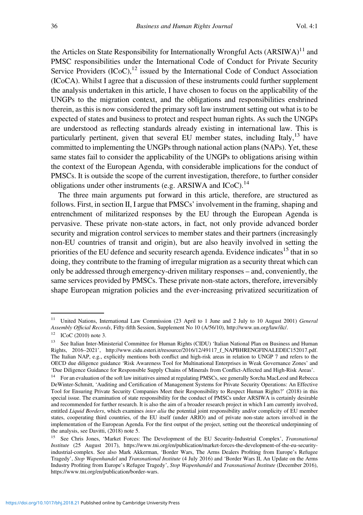the Articles on State Responsibility for Internationally Wrongful Acts  $(ARSIWA)^{11}$  and PMSC responsibilities under the International Code of Conduct for Private Security Service Providers  $(ICoC)$ ,<sup>12</sup> issued by the International Code of Conduct Association (ICoCA). Whilst I agree that a discussion of these instruments could further supplement the analysis undertaken in this article, I have chosen to focus on the applicability of the UNGPs to the migration context, and the obligations and responsibilities enshrined therein, as this is now considered the primary soft law instrument setting out what is to be expected of states and business to protect and respect human rights. As such the UNGPs are understood as reflecting standards already existing in international law. This is particularly pertinent, given that several EU member states, including Italy,<sup>13</sup> have committed to implementing the UNGPs through national action plans (NAPs). Yet, these same states fail to consider the applicability of the UNGPs to obligations arising within the context of the European Agenda, with considerable implications for the conduct of PMSCs. It is outside the scope of the current investigation, therefore, to further consider obligations under other instruments (e.g. ARSIWA and  $ICoC$ ).<sup>14</sup>

The three main arguments put forward in this article, therefore, are structured as follows. First, in section II, I argue that PMSCs' involvement in the framing, shaping and entrenchment of militarized responses by the EU through the European Agenda is pervasive. These private non-state actors, in fact, not only provide advanced border security and migration control services to member states and their partners (increasingly non-EU countries of transit and origin), but are also heavily involved in setting the priorities of the EU defence and security research agenda. Evidence indicates<sup>15</sup> that in so doing, they contribute to the framing of irregular migration as a security threat which can only be addressed through emergency-driven military responses – and, conveniently, the same services provided by PMSCs. These private non-state actors, therefore, irreversibly shape European migration policies and the ever-increasing privatized securitization of

<sup>&</sup>lt;sup>11</sup> United Nations, International Law Commission (23 April to 1 June and 2 July to 10 August 2001) General Assembly Official Records, Fifty-fifth Session, Supplement No 10 (A/56/10), [http://www.un.org/law/ilc/.](http://www.un.org/law/ilc/)

 $12 \text{ }$  ICoC (2010) note 3.

<sup>&</sup>lt;sup>13</sup> See Italian Inter-Ministerial Committee for Human Rights (CIDU) 'Italian National Plan on Business and Human Rights, 2016–2021', [http://www.cidu.esteri.it/resource/2016/12/49117\\_f\\_NAPBHRENGFINALEDEC152017.pdf](http://www.cidu.esteri.it/resource/2016�/�12/49117_f_NAPBHRENGFINALEDEC152017.pdf). The Italian NAP, e.g., explicitly mentions both conflict and high-risk areas in relation to UNGP 7 and refers to the OECD due diligence guidance 'Risk Awareness Tool for Multinational Enterprises in Weak Governance Zones' and 'Due Diligence Guidance for Responsible Supply Chains of Minerals from Conflict-Affected and High-Risk Areas'.

<sup>&</sup>lt;sup>14</sup> For an evaluation of the soft law initiatives aimed at regulating PMSCs, see generally Sorcha MacLeod and Rebecca DeWinter-Schmitt, 'Auditing and Certification of Management Systems for Private Security Operations: An Effective Tool for Ensuring Private Security Companies Meet their Responsibility to Respect Human Rights?' (2018) in this special issue. The examination of state responsibility for the conduct of PMSCs under ARSIWA is certainly desirable and recommended for further research. It is also the aim of a broader research project in which I am currently involved, entitled Liquid Borders, which examines inter alia the potential joint responsibility and/or complicity of EU member states, cooperating third countries, of the EU itself (under ARIO) and of private non-state actors involved in the implementation of the European Agenda. For the first output of the project, setting out the theoretical underpinning of the analysis, see Davitti, (2018) note 5.

<sup>&</sup>lt;sup>15</sup> See Chris Jones, 'Market Forces: The Development of the EU Security-Industrial Complex', Transnational Institute (25 August 2017), [https://www.tni.org/en/publication/market-forces-the-development-of-the-eu-security](https://www.tni.org/en/publication/market-forces-the-development-of-the-eu-security-industrial-complex)[industrial-complex.](https://www.tni.org/en/publication/market-forces-the-development-of-the-eu-security-industrial-complex) See also Mark Akkerman, 'Border Wars, The Arms Dealers Profiting from Europe's Refugee Tragedy', Stop Wapenhandel and Transnational Institute (4 July 2016) and 'Border Wars II, An Update on the Arms Industry Profiting from Europe's Refugee Tragedy', Stop Wapenhandel and Transnational Institute (December 2016), [https://www.tni.org/en/publication/border-wars.](https://www.tni.org/en/publication/border-wars)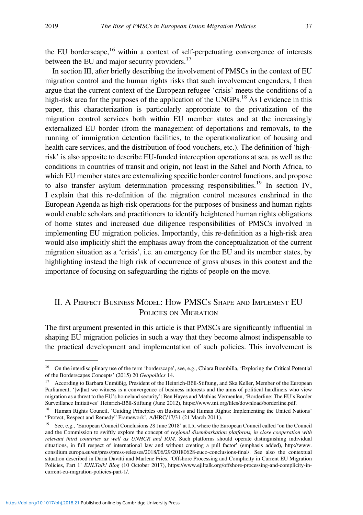the EU borderscape,<sup>16</sup> within a context of self-perpetuating convergence of interests between the EU and major security providers.<sup>17</sup>

In section III, after briefly describing the involvement of PMSCs in the context of EU migration control and the human rights risks that such involvement engenders, I then argue that the current context of the European refugee 'crisis' meets the conditions of a high-risk area for the purposes of the application of the UNGPs.<sup>18</sup> As I evidence in this paper, this characterization is particularly appropriate to the privatization of the migration control services both within EU member states and at the increasingly externalized EU border (from the management of deportations and removals, to the running of immigration detention facilities, to the operationalization of housing and health care services, and the distribution of food vouchers, etc.). The definition of 'highrisk' is also apposite to describe EU-funded interception operations at sea, as well as the conditions in countries of transit and origin, not least in the Sahel and North Africa, to which EU member states are externalizing specific border control functions, and propose to also transfer asylum determination processing responsibilities.<sup>19</sup> In section IV, I explain that this re-definition of the migration control measures enshrined in the European Agenda as high-risk operations for the purposes of business and human rights would enable scholars and practitioners to identify heightened human rights obligations of home states and increased due diligence responsibilities of PMSCs involved in implementing EU migration policies. Importantly, this re-definition as a high-risk area would also implicitly shift the emphasis away from the conceptualization of the current migration situation as a 'crisis', i.e. an emergency for the EU and its member states, by highlighting instead the high risk of occurrence of gross abuses in this context and the importance of focusing on safeguarding the rights of people on the move.

## II. A PERFECT BUSINESS MODEL: HOW PMSCS SHAPE AND IMPLEMENT EU POLICIES ON MIGRATION

The first argument presented in this article is that PMSCs are significantly influential in shaping EU migration policies in such a way that they become almost indispensable to the practical development and implementation of such policies. This involvement is

<sup>&</sup>lt;sup>16</sup> On the interdisciplinary use of the term 'borderscape', see, e.g., Chiara Brambilla, 'Exploring the Critical Potential of the Borderscapes Concepts' (2015) 20 Geopolitics 14.

<sup>&</sup>lt;sup>17</sup> According to Barbara Unmüßig, President of the Heinrich-Böll-Stiftung, and Ska Keller, Member of the European Parliament, '[w]hat we witness is a convergence of business interests and the aims of political hardliners who view migration as a threat to the EU's homeland security': Ben Hayes and Mathias Vermeulen, 'Borderline: The EU's Border Surveillance Initiatives' Heinrich-Böll-Stiftung (June 2012), https://www.tni.org/fi[les/download/borderline.pdf.](https://www.tni.org/files/download/borderline.pdf)

<sup>&</sup>lt;sup>18</sup> Human Rights Council, 'Guiding Principles on Business and Human Rights: Implementing the United Nations' "Protect, Respect and Remedy" Framework', A/HRC/17/31 (21 March 2011).

<sup>19</sup> See, e.g., 'European Council Conclusions 28 June 2018' at I.5, where the European Council called 'on the Council and the Commission to swiftly explore the concept of regional disembarkation platforms, in close cooperation with relevant third countries as well as UNHCR and IOM. Such platforms should operate distinguishing individual situations, in full respect of international law and without creating a pull factor' (emphasis added), [http://www.](http://www.consilium.europa.eu/en/press/press-releases/2018�/�06/29�/�20180628-euco-conclusions-final/) [consilium.europa.eu/en/press/press-releases/2018/06/29/20180628-euco-conclusions-](http://www.consilium.europa.eu/en/press/press-releases/2018�/�06/29�/�20180628-euco-conclusions-final/)final/. See also the contextual situation described in Daria Davitti and Marlene Fries, 'Offshore Processing and Complicity in Current EU Migration Policies, Part 1' EJILTalk! Blog (10 October 2017), [https://www.ejiltalk.org/offshore-processing-and-complicity-in](https://www.ejiltalk.org/offshore-processing-and-complicity-in-current-eu-migration-policies-part-1/)[current-eu-migration-policies-part-1/.](https://www.ejiltalk.org/offshore-processing-and-complicity-in-current-eu-migration-policies-part-1/)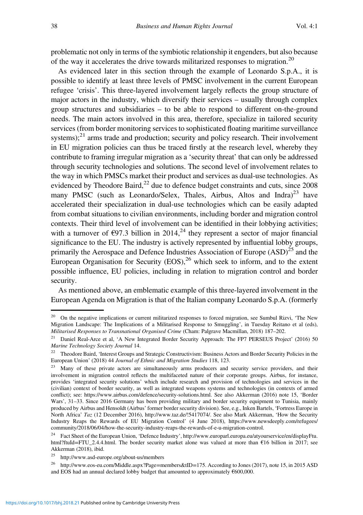problematic not only in terms of the symbiotic relationship it engenders, but also because of the way it accelerates the drive towards militarized responses to migration.<sup>20</sup>

As evidenced later in this section through the example of Leonardo S.p.A., it is possible to identify at least three levels of PMSC involvement in the current European refugee 'crisis'. This three-layered involvement largely reflects the group structure of major actors in the industry, which diversify their services – usually through complex group structures and subsidiaries – to be able to respond to different on-the-ground needs. The main actors involved in this area, therefore, specialize in tailored security services (from border monitoring services to sophisticated floating maritime surveillance systems); $^{21}$  arms trade and production; security and policy research. Their involvement in EU migration policies can thus be traced firstly at the research level, whereby they contribute to framing irregular migration as a 'security threat' that can only be addressed through security technologies and solutions. The second level of involvement relates to the way in which PMSCs market their product and services as dual-use technologies. As evidenced by Theodore Baird, $^{22}$  due to defence budget constraints and cuts, since 2008 many PMSC (such as Leonardo/Selex, Thales, Airbus, Altos and Indra) $^{23}$  have accelerated their specialization in dual-use technologies which can be easily adapted from combat situations to civilian environments, including border and migration control contexts. Their third level of involvement can be identified in their lobbying activities; with a turnover of  $\epsilon$ 97.3 billion in 2014,<sup>24</sup> they represent a sector of major financial significance to the EU. The industry is actively represented by influential lobby groups, primarily the Aerospace and Defence Industries Association of Europe  $(ASD)^{25}$  and the European Organisation for Security  $(EOS)^{26}$  which seek to inform, and to the extent possible influence, EU policies, including in relation to migration control and border security.

As mentioned above, an emblematic example of this three-layered involvement in the European Agenda on Migration is that of the Italian company Leonardo S.p.A. (formerly

<sup>&</sup>lt;sup>20</sup> On the negative implications or current militarized responses to forced migration, see Sumbul Rizvi, 'The New Migration Landscape: The Implications of a Militarised Response to Smuggling', in Tuesday Reitano et al (eds), Militarised Responses to Transnational Organised Crime (Cham: Palgrave Macmillan, 2018) 187–202.

<sup>&</sup>lt;sup>21</sup> Daniel Real-Arce et al, 'A New Integrated Border Security Approach: The FP7 PERSEUS Project' (2016) 50 Marine Technology Society Journal 14.

<sup>&</sup>lt;sup>22</sup> Theodore Baird, 'Interest Groups and Strategic Constructivism: Business Actors and Border Security Policies in the European Union' (2018) 44 Journal of Ethnic and Migration Studies 118, 123.<br><sup>23</sup> March of these prints actors are simulted under any goal began and

<sup>23</sup> Many of these private actors are simultaneously arms producers and security service providers, and their involvement in migration control reflects the multifaceted nature of their corporate groups. Airbus, for instance, provides 'integrated security solutions' which include research and provision of technologies and services in the (civilian) context of border security, as well as integrated weapons systems and technologies (in contexts of armed conflict); see:<https://www.airbus.com/defence/security-solutions.html>. See also Akkerman (2016) note 15, 'Border Wars', 31–33. Since 2016 Germany has been providing military and border security equipment to Tunisia, mainly produced by Airbus and Hensoldt (Airbus' former border security division). See, e.g., Inken Bartels, 'Fortress Europe in North Africa' Taz (12 December 2016), [http://www.taz.de/!5417074/.](http://www.taz.de/!5417074/) See also Mark Akkerman, 'How the Security Industry Reaps the Rewards of EU Migration Control' (4 June 2018), [https://www.newsdeeply.com/refugees/](https://www.newsdeeply.com/refugees/community/2018�/�06/04/how-the-security-industry-reaps-the-rewards-of-e-u-migration-control) [community/2018/06/04/how-the-security-industry-reaps-the-rewards-of-e-u-migration-control](https://www.newsdeeply.com/refugees/community/2018�/�06/04/how-the-security-industry-reaps-the-rewards-of-e-u-migration-control).<br><sup>24</sup> East Sheet of the European Union. 'Defence Industry' http://www.europarl.europa.eu/atvoi

<sup>24</sup> Fact Sheet of the European Union, 'Defence Industry', [http://www.europarl.europa.eu/atyourservice/en/displayFtu.](http://www.europarl.europa.eu/atyourservice/en/displayFtu.html?ftuId=FTU_2.4.4.html) html?ftuId=[FTU\\_2.4.4.html](http://www.europarl.europa.eu/atyourservice/en/displayFtu.html?ftuId=FTU_2.4.4.html). The border security market alone was valued at more than €16 billion in 2017; see Akkerman (2018), ibid.<br> $^{25}$  http://www.asd-euro

<sup>25</sup> <http://www.asd-europe.org/about-us/members>

<sup>&</sup>lt;sup>26</sup> [http://www.eos-eu.com/Middle.aspx?Page](http://www.eos-eu.com/Middle.aspx?Page=members&tID=175)=members&tID=175. According to Jones (2017), note 15, in 2015 ASD and EOS had an annual declared lobby budget that amounted to approximately €600,000.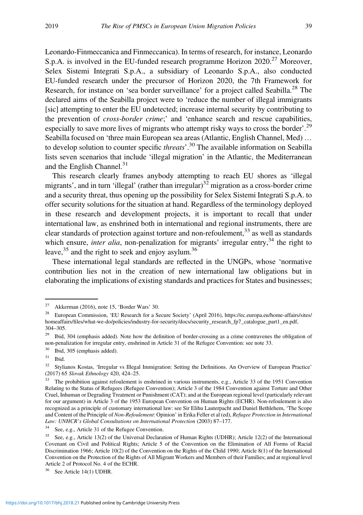Leonardo-Finmeccanica and Finmeccanica). In terms of research, for instance, Leonardo S.p.A. is involved in the EU-funded research programme Horizon  $2020$ <sup>27</sup> Moreover, Selex Sistemi Integrati S.p.A., a subsidiary of Leonardo S.p.A., also conducted EU-funded research under the precursor of Horizon 2020, the 7th Framework for Research, for instance on 'sea border surveillance' for a project called Seabilla.<sup>28</sup> The declared aims of the Seabilla project were to 'reduce the number of illegal immigrants [sic] attempting to enter the EU undetected; increase internal security by contributing to the prevention of cross-border crime;' and 'enhance search and rescue capabilities, especially to save more lives of migrants who attempt risky ways to cross the border'.<sup>29</sup> Seabilla focused on 'three main European sea areas (Atlantic, English Channel, Med) … to develop solution to counter specific *threats*<sup>'</sup>.<sup>30</sup> The available information on Seabilla lists seven scenarios that include 'illegal migration' in the Atlantic, the Mediterranean and the English Channel.<sup>31</sup>

This research clearly frames anybody attempting to reach EU shores as 'illegal migrants', and in turn 'illegal' (rather than irregular)<sup>32</sup> migration as a cross-border crime and a security threat, thus opening up the possibility for Selex Sistemi Integrati S.p.A. to offer security solutions for the situation at hand. Regardless of the terminology deployed in these research and development projects, it is important to recall that under international law, as enshrined both in international and regional instruments, there are clear standards of protection against torture and non-refoulement,  $33$  as well as standards which ensure, *inter alia*, non-penalization for migrants' irregular entry,<sup>34</sup> the right to leave,  $35$  and the right to seek and enjoy asylum.  $36$ 

These international legal standards are reflected in the UNGPs, whose 'normative contribution lies not in the creation of new international law obligations but in elaborating the implications of existing standards and practices for States and businesses;

 $27$  Akkerman (2016), note 15, 'Border Wars' 30.

<sup>&</sup>lt;sup>28</sup> European Commission, 'EU Research for a Secure Society' (April 2016), [https://ec.europa.eu/home-affairs/sites/](https://ec.europa.eu/home-affairs/sites/homeaffairs/files/what-we-do/policies/industry-for-security/docs/security_research_fp7_catalogue_part1_en.pdf) homeaffairs/fi[les/what-we-do/policies/industry-for-security/docs/security\\_research\\_fp7\\_catalogue\\_part1\\_en.pdf,](https://ec.europa.eu/home-affairs/sites/homeaffairs/files/what-we-do/policies/industry-for-security/docs/security_research_fp7_catalogue_part1_en.pdf) 304–305.

 $29$  Ibid, 304 (emphasis added). Note how the definition of border-crossing as a crime contravenes the obligation of non-penalization for irregular entry, enshrined in Article 31 of the Refugee Convention: see note 33.

 $30\over 31$  Ibid, 305 (emphasis added).

Ibid.

<sup>&</sup>lt;sup>32</sup> Stylianos Kostas, 'Irregular vs Illegal Immigration: Setting the Definitions. An Overview of European Practice' (2017) 65 Slovak Ethnology 420, 424–25.

<sup>&</sup>lt;sup>33</sup> The prohibition against refoulement is enshrined in various instruments, e.g., Article 33 of the 1951 Convention Relating to the Status of Refugees (Refugee Convention); Article 3 of the 1984 Convention against Torture and Other Cruel, Inhuman or Degrading Treatment or Punishment (CAT); and at the European regional level (particularly relevant for our argument) in Article 3 of the 1953 European Convention on Human Rights (ECHR). Non-refoulement is also recognized as a principle of customary international law: see Sir Elihu Lauterpacht and Daniel Bethlehem, 'The Scope and Content of the Principle of Non-Refoulement: Opinion' in Erika Feller et al (ed), Refugee Protection in International Law: UNHCR's Global Consultations on International Protection (2003) 87–177.

<sup>34</sup> See, e.g., Article 31 of the Refugee Convention.

<sup>&</sup>lt;sup>35</sup> See, e.g., Article 13(2) of the Universal Declaration of Human Rights (UDHR); Article 12(2) of the International Covenant on Civil and Political Rights; Article 5 of the Convention on the Elimination of All Forms of Racial Discrimination 1966; Article 10(2) of the Convention on the Rights of the Child 1990; Article 8(1) of the International Convention on the Protection of the Rights of All Migrant Workers and Members of their Families; and at regional level Article 2 of Protocol No. 4 of the ECHR.

<sup>36</sup> See Article 14(1) UDHR.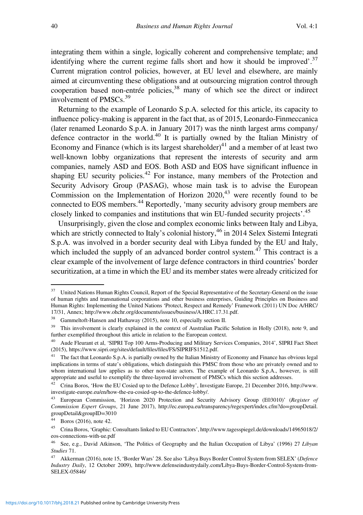integrating them within a single, logically coherent and comprehensive template; and identifying where the current regime falls short and how it should be improved'.<sup>37</sup> Current migration control policies, however, at EU level and elsewhere, are mainly aimed at circumventing these obligations and at outsourcing migration control through cooperation based non-entrée policies,<sup>38</sup> many of which see the direct or indirect involvement of PMSCs.<sup>39</sup>

Returning to the example of Leonardo S.p.A. selected for this article, its capacity to influence policy-making is apparent in the fact that, as of 2015, Leonardo-Finmeccanica (later renamed Leonardo S.p.A. in January 2017) was the ninth largest arms company/ defence contractor in the world.<sup>40</sup> It is partially owned by the Italian Ministry of Economy and Finance (which is its largest shareholder)<sup>41</sup> and a member of at least two well-known lobby organizations that represent the interests of security and arm companies, namely ASD and EOS. Both ASD and EOS have significant influence in shaping EU security policies.<sup>42</sup> For instance, many members of the Protection and Security Advisory Group (PASAG), whose main task is to advise the European Commission on the Implementation of Horizon  $2020<sup>43</sup>$ , were recently found to be connected to EOS members.44 Reportedly, 'many security advisory group members are closely linked to companies and institutions that win EU-funded security projects'.<sup>45</sup>

Unsurprisingly, given the close and complex economic links between Italy and Libya, which are strictly connected to Italy's colonial history,<sup>46</sup> in 2014 Selex Sistemi Integrati S.p.A. was involved in a border security deal with Libya funded by the EU and Italy, which included the supply of an advanced border control system.<sup>47</sup> This contract is a clear example of the involvement of large defence contractors in third countries' border securitization, at a time in which the EU and its member states were already criticized for

<sup>42</sup> Crina Boros, 'How the EU Cosied up to the Defence Lobby', Investigate Europe, 21 December 2016, [http://www.](http://www.investigate-europe.eu/en/how-the-eu-cosied-up-to-the-defence-lobby/) [investigate-europe.eu/en/how-the-eu-cosied-up-to-the-defence-lobby/](http://www.investigate-europe.eu/en/how-the-eu-cosied-up-to-the-defence-lobby/).

<sup>&</sup>lt;sup>37</sup> United Nations Human Rights Council, Report of the Special Representative of the Secretary-General on the issue of human rights and transnational corporations and other business enterprises, Guiding Principles on Business and Human Rights: Implementing the United Nations 'Protect, Respect and Remedy' Framework (2011) UN Doc A/HRC/ 17/31, Annex; [http://www.ohchr.org/documents/issues/business/A.HRC.17.31.pdf.](http://www.ohchr.org/documents/issues/business/A.HRC.17.31.pdf)

<sup>38</sup> Gammeltoft-Hansen and Hathaway (2015), note 10, especially section II.

<sup>&</sup>lt;sup>39</sup> This involvement is clearly explained in the context of Australian Pacific Solution in Holly (2018), note 9, and further exemplified throughout this article in relation to the European context.

<sup>&</sup>lt;sup>40</sup> Aude Fleurant et al, 'SIPRI Top 100 Arms-Producing and Military Services Companies, 2014', SIPRI Fact Sheet (2015), [https://www.sipri.org/sites/default/](https://www.sipri.org/sites/default/files/files/FS/SIPRIFS1512.pdf)files/files/FS/SIPRIFS1512.pdf.

<sup>&</sup>lt;sup>41</sup> The fact that Leonardo S.p.A. is partially owned by the Italian Ministry of Economy and Finance has obvious legal implications in terms of state's obligations, which distinguish this PMSC from those who are privately owned and to whom international law applies as to other non-state actors. The example of Leonardo S.p.A., however, is still appropriate and useful to exemplify the three-layered involvement of PMSCs which this section addresses.

<sup>&</sup>lt;sup>43</sup> European Commission, 'Horizon 2020 Protection and Security Advisory Group (E03010)' (Register of Commission Expert Groups, 21 June 2017), [http://ec.europa.eu/transparency/regexpert/index.cfm?do](http://ec.europa.eu/transparency/regexpert/index.cfm?do=groupDetail.groupDetail&groupID=3010)=groupDetail. [groupDetail&groupID](http://ec.europa.eu/transparency/regexpert/index.cfm?do=groupDetail.groupDetail&groupID=3010)=3010

<sup>44</sup> Boros (2016), note 42.

<sup>45</sup> Crina Boros, 'Graphic: Consultants linked to EU Contractors', [http://www.tagesspiegel.de/downloads/14965018/2/](http://www.tagesspiegel.de/downloads/14965018�/�2/eos-connections-with-ue.pdf) [eos-connections-with-ue.pdf](http://www.tagesspiegel.de/downloads/14965018�/�2/eos-connections-with-ue.pdf)

<sup>&</sup>lt;sup>46</sup> See, e.g., David Atkinson, 'The Politics of Geography and the Italian Occupation of Libya' (1996) 27 Libyan Studies 71.

<sup>&</sup>lt;sup>47</sup> Akkerman (2016), note 15, 'Border Wars' 28. See also 'Libya Buys Border Control System from SELEX' (Defence Industry Daily, 12 October 2009), [http://www.defenseindustrydaily.com/Libya-Buys-Border-Control-System-from-](http://www.defenseindustrydaily.com/Libya-Buys-Border-Control-System-from-SELEX�-�05846/)[SELEX-05846/](http://www.defenseindustrydaily.com/Libya-Buys-Border-Control-System-from-SELEX�-�05846/)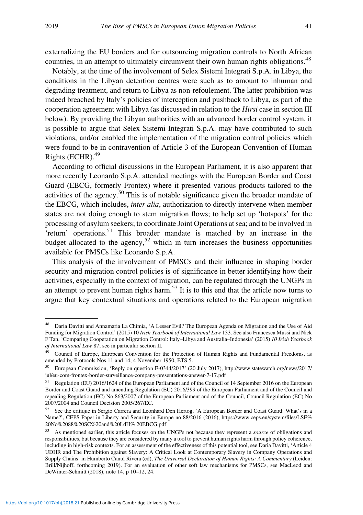externalizing the EU borders and for outsourcing migration controls to North African countries, in an attempt to ultimately circumvent their own human rights obligations.<sup>48</sup>

Notably, at the time of the involvement of Selex Sistemi Integrati S.p.A. in Libya, the conditions in the Libyan detention centres were such as to amount to inhuman and degrading treatment, and return to Libya as non-refoulement. The latter prohibition was indeed breached by Italy's policies of interception and pushback to Libya, as part of the cooperation agreement with Libya (as discussed in relation to the Hirsi case in section III below). By providing the Libyan authorities with an advanced border control system, it is possible to argue that Selex Sistemi Integrati S.p.A. may have contributed to such violations, and/or enabled the implementation of the migration control policies which were found to be in contravention of Article 3 of the European Convention of Human Rights  $(ECHR)$ .<sup>49</sup>

According to official discussions in the European Parliament, it is also apparent that more recently Leonardo S.p.A. attended meetings with the European Border and Coast Guard (EBCG, formerly Frontex) where it presented various products tailored to the activities of the agency.<sup>50</sup> This is of notable significance given the broader mandate of the EBCG, which includes, *inter alia*, authorization to directly intervene when member states are not doing enough to stem migration flows; to help set up 'hotspots' for the processing of asylum seekers; to coordinate Joint Operations at sea; and to be involved in 'return' operations.<sup>51</sup> This broader mandate is matched by an increase in the budget allocated to the agency,<sup>52</sup> which in turn increases the business opportunities available for PMSCs like Leonardo S.p.A.

This analysis of the involvement of PMSCs and their influence in shaping border security and migration control policies is of significance in better identifying how their activities, especially in the context of migration, can be regulated through the UNGPs in an attempt to prevent human rights harm.<sup>53</sup> It is to this end that the article now turns to argue that key contextual situations and operations related to the European migration

Daria Davitti and Annamaria La Chimia, 'A Lesser Evil? The European Agenda on Migration and the Use of Aid Funding for Migration Control' (2015) 10 Irish Yearbook of International Law 133. See also Francesca Mussi and Nick F Tan, 'Comparing Cooperation on Migration Control: Italy–Libya and Australia–Indonesia' (2015) 10 Irish Yearbook of International Law 87; see in particular section II.

<sup>&</sup>lt;sup>49</sup> Council of Europe, European Convention for the Protection of Human Rights and Fundamental Freedoms, as amended by Protocols Nos 11 and 14, 4 November 1950, ETS 5.<br> $^{50}$ . European Commission iParks on martin E 0344/0017/ (2)

<sup>50</sup> European Commission, 'Reply on question E-0344/2017' (20 July 2017), [http://www.statewatch.org/news/2017/](http://www.statewatch.org/news/2017/jul/eu-com-frontex-border-surveillance-company-presentations-answer-7-17.pdf) [jul/eu-com-frontex-border-surveillance-company-presentations-answer-7-17.pdf](http://www.statewatch.org/news/2017/jul/eu-com-frontex-border-surveillance-company-presentations-answer-7-17.pdf)

<sup>51</sup> Regulation (EU) 2016/1624 of the European Parliament and of the Council of 14 September 2016 on the European Border and Coast Guard and amending Regulation (EU) 2016/399 of the European Parliament and of the Council and repealing Regulation (EC) No 863/2007 of the European Parliament and of the Council, Council Regulation (EC) No 2007/2004 and Council Decision 2005/267/EC.

<sup>&</sup>lt;sup>52</sup> See the critique in Sergio Carrera and Leonhard Den Hertog, 'A European Border and Coast Guard: What's in a Name?', CEPS Paper in Liberty and Security in Europe no 88/2016 (2016), [https://www.ceps.eu/system/](https://www.ceps.eu/system/files/LSE%20No%2088%20SC%20and%20LdH% 20EBCG.pdf)files/LSE% [20No%2088%20SC%20and%20LdH% 20EBCG.pdf](https://www.ceps.eu/system/files/LSE%20No%2088%20SC%20and%20LdH% 20EBCG.pdf)

<sup>53</sup> As mentioned earlier, this article focuses on the UNGPs not because they represent a source of obligations and responsibilities, but because they are considered by many a tool to prevent human rights harm through policy coherence, including in high-risk contexts. For an assessment of the effectiveness of this potential tool, see Daria Davitti, 'Article 4 UDHR and The Prohibition against Slavery: A Critical Look at Contemporary Slavery in Company Operations and Supply Chains' in Humberto Cantú Rivera (ed), The Universal Declaration of Human Rights: A Commentary (Leiden: Brill/Nijhoff, forthcoming 2019). For an evaluation of other soft law mechanisms for PMSCs, see MacLeod and DeWinter-Schmitt (2018), note 14, p 10–12, 24.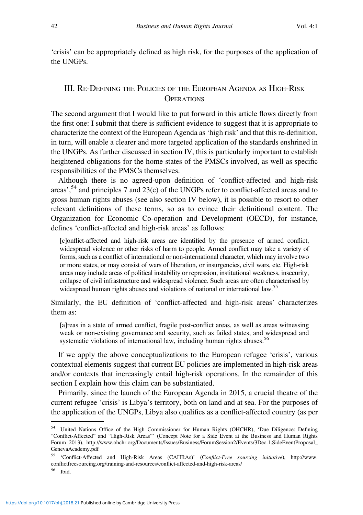'crisis' can be appropriately defined as high risk, for the purposes of the application of the UNGPs.

## III. RE-DEFINING THE POLICIES OF THE EUROPEAN AGENDA AS HIGH-RISK **OPERATIONS**

The second argument that I would like to put forward in this article flows directly from the first one: I submit that there is sufficient evidence to suggest that it is appropriate to characterize the context of the European Agenda as 'high risk' and that this re-definition, in turn, will enable a clearer and more targeted application of the standards enshrined in the UNGPs. As further discussed in section IV, this is particularly important to establish heightened obligations for the home states of the PMSCs involved, as well as specific responsibilities of the PMSCs themselves.

Although there is no agreed-upon definition of 'conflict-affected and high-risk areas',<sup>54</sup> and principles 7 and 23(c) of the UNGPs refer to conflict-affected areas and to gross human rights abuses (see also section IV below), it is possible to resort to other relevant definitions of these terms, so as to evince their definitional content. The Organization for Economic Co-operation and Development (OECD), for instance, defines 'conflict-affected and high-risk areas' as follows:

[c]onflict-affected and high-risk areas are identified by the presence of armed conflict, widespread violence or other risks of harm to people. Armed conflict may take a variety of forms, such as a conflict of international or non-international character, which may involve two or more states, or may consist of wars of liberation, or insurgencies, civil wars, etc. High-risk areas may include areas of political instability or repression, institutional weakness, insecurity, collapse of civil infrastructure and widespread violence. Such areas are often characterised by widespread human rights abuses and violations of national or international law.<sup>55</sup>

Similarly, the EU definition of 'conflict-affected and high-risk areas' characterizes them as:

[a]reas in a state of armed conflict, fragile post-conflict areas, as well as areas witnessing weak or non-existing governance and security, such as failed states, and widespread and systematic violations of international law, including human rights abuses.<sup>56</sup>

If we apply the above conceptualizations to the European refugee 'crisis', various contextual elements suggest that current EU policies are implemented in high-risk areas and/or contexts that increasingly entail high-risk operations. In the remainder of this section I explain how this claim can be substantiated.

Primarily, since the launch of the European Agenda in 2015, a crucial theatre of the current refugee 'crisis' is Libya's territory, both on land and at sea. For the purposes of the application of the UNGPs, Libya also qualifies as a conflict-affected country (as per

<sup>54</sup> United Nations Office of the High Commissioner for Human Rights (OHCHR), 'Due Diligence: Defining "Conflict-Affected" and "High-Risk Areas"' (Concept Note for a Side Event at the Business and Human Rights Forum 2013), [http://www.ohchr.org/Documents/Issues/Business/ForumSession2/Events/3Dec.1.SideEventProposal\\_](http://www.ohchr.org/Documents/Issues/Business/ForumSession2/Events/3Dec.1.SideEventProposal_GenevaAcademy.pdf) [GenevaAcademy.pdf](http://www.ohchr.org/Documents/Issues/Business/ForumSession2/Events/3Dec.1.SideEventProposal_GenevaAcademy.pdf)

<sup>55</sup> 'Conflict-Affected and High-Risk Areas (CAHRAs)' (Conflict-Free sourcing initiative), [http://www.](http://www.conflictfreesourcing.org/training-and-resources/conflict-affected-and-high-risk-areas/) confl[ictfreesourcing.org/training-and-resources/con](http://www.conflictfreesourcing.org/training-and-resources/conflict-affected-and-high-risk-areas/)flict-affected-and-high-risk-areas/

<sup>56</sup> Ibid.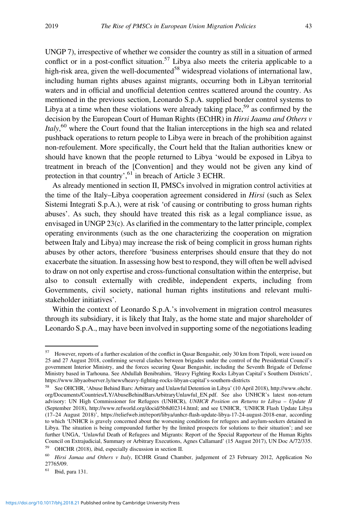UNGP 7), irrespective of whether we consider the country as still in a situation of armed conflict or in a post-conflict situation.<sup>57</sup> Libya also meets the criteria applicable to a high-risk area, given the well-documented<sup>58</sup> widespread violations of international law, including human rights abuses against migrants, occurring both in Libyan territorial waters and in official and unofficial detention centres scattered around the country. As mentioned in the previous section, Leonardo S.p.A. supplied border control systems to Libya at a time when these violations were already taking place,<sup>59</sup> as confirmed by the decision by the European Court of Human Rights (ECtHR) in *Hirsi Jaama and Others v* Italy,<sup>60</sup> where the Court found that the Italian interceptions in the high sea and related pushback operations to return people to Libya were in breach of the prohibition against non-refoulement. More specifically, the Court held that the Italian authorities knew or should have known that the people returned to Libya 'would be exposed in Libya to treatment in breach of the [Convention] and they would not be given any kind of protection in that country', <sup>61</sup> in breach of Article 3 ECHR.

As already mentioned in section II, PMSCs involved in migration control activities at the time of the Italy–Libya cooperation agreement considered in Hirsi (such as Selex Sistemi Integrati S.p.A.), were at risk 'of causing or contributing to gross human rights abuses'. As such, they should have treated this risk as a legal compliance issue, as envisaged in UNGP 23(c). As clarified in the commentary to the latter principle, complex operating environments (such as the one characterizing the cooperation on migration between Italy and Libya) may increase the risk of being complicit in gross human rights abuses by other actors, therefore 'business enterprises should ensure that they do not exacerbate the situation. In assessing how best to respond, they will often be well advised to draw on not only expertise and cross-functional consultation within the enterprise, but also to consult externally with credible, independent experts, including from Governments, civil society, national human rights institutions and relevant multistakeholder initiatives'.

Within the context of Leonardo S.p.A.'s involvement in migration control measures through its subsidiary, it is likely that Italy, as the home state and major shareholder of Leonardo S.p.A., may have been involved in supporting some of the negotiations leading

 $57$  However, reports of a further escalation of the conflict in Qasar Bengashir, only 30 km from Tripoli, were issued on 25 and 27 August 2018, confirming several clashes between brigades under the control of the Presidential Council's government Interior Ministry, and the forces securing Qasar Bengashir, including the Seventh Brigade of Defense Ministry based in Tarhouna. See Abdullah Benibrahim, 'Heavy Fighting Rocks Libyan Capital's Southern Districts', [https://www.libyaobserver.ly/news/heavy-](https://www.libyaobserver.ly/news/heavy-fighting-rocks-libyan-capital’s-southern-districts)fighting-rocks-libyan-capital's-southern-districts

<sup>58</sup> See OHCHR, 'Abuse Behind Bars: Arbitrary and Unlawful Detention in Libya' (10 April 2018), [http://www.ohchr.](http://www.ohchr.org/Documents/Countries/LY/AbuseBehindBarsArbitraryUnlawful_EN.pdf) [org/Documents/Countries/LY/AbuseBehindBarsArbitraryUnlawful\\_EN.pdf](http://www.ohchr.org/Documents/Countries/LY/AbuseBehindBarsArbitraryUnlawful_EN.pdf). See also UNHCR's latest non-return advisory: UN High Commissioner for Refugees (UNHCR), UNHCR Position on Returns to Libya - Update II (September 2018),<http://www.refworld.org/docid/5b8d02314.html>; and see UNHCR, 'UNHCR Flash Update Libya (17–24 August 2018)', https://reliefweb.int/report/libya/unhcr-fl[ash-update-libya-17-24-august-2018-enar,](https://reliefweb.int/report/libya/unhcr-flash-update-libya-17-24-august-2018-enar) according to which 'UNHCR is gravely concerned about the worsening conditions for refugees and asylum-seekers detained in Libya. The situation is being compounded further by the limited prospects for solutions to their situation'; and see further UNGA, 'Unlawful Death of Refugees and Migrants: Report of the Special Rapporteur of the Human Rights Council on Extrajudicial, Summary or Arbitrary Executions, Agnes Callamard' (15 August 2017), UN Doc A/72/335.

<sup>&</sup>lt;sup>59</sup> OHCHR (2018), ibid, especially discussion in section II.<br><sup>60</sup> Hirsi Jamag and Others v Italy, ECtHR Grand Cham

Hirsi Jamaa and Others v Italy, ECtHR Grand Chamber, judgement of 23 February 2012, Application No 27765/09.

<sup>61</sup> Ibid, para 131.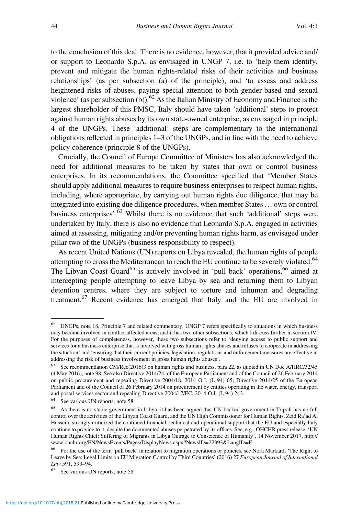to the conclusion of this deal. There is no evidence, however, that it provided advice and/ or support to Leonardo S.p.A. as envisaged in UNGP 7, i.e. to 'help them identify, prevent and mitigate the human rights-related risks of their activities and business relationships' (as per subsection (a) of the principle); and 'to assess and address heightened risks of abuses, paying special attention to both gender-based and sexual violence' (as per subsection (b)).<sup>62</sup> As the Italian Ministry of Economy and Finance is the largest shareholder of this PMSC, Italy should have taken 'additional' steps to protect against human rights abuses by its own state-owned enterprise, as envisaged in principle 4 of the UNGPs. These 'additional' steps are complementary to the international obligations reflected in principles 1–3 of the UNGPs, and in line with the need to achieve policy coherence (principle 8 of the UNGPs).

Crucially, the Council of Europe Committee of Ministers has also acknowledged the need for additional measures to be taken by states that own or control business enterprises. In its recommendations, the Committee specified that 'Member States should apply additional measures to require business enterprises to respect human rights, including, where appropriate, by carrying out human rights due diligence, that may be integrated into existing due diligence procedures, when member States … own or control business enterprises'.<sup>63</sup> Whilst there is no evidence that such 'additional' steps were undertaken by Italy, there is also no evidence that Leonardo S.p.A. engaged in activities aimed at assessing, mitigating and/or preventing human rights harm, as envisaged under pillar two of the UNGPs (business responsibility to respect).

As recent United Nations (UN) reports on Libya revealed, the human rights of people attempting to cross the Mediterranean to reach the EU continue to be severely violated.<sup>64</sup> The Libyan Coast Guard<sup>65</sup> is actively involved in 'pull back' operations,  $66$  aimed at intercepting people attempting to leave Libya by sea and returning them to Libyan detention centres, where they are subject to torture and inhuman and degrading treatment.<sup>67</sup> Recent evidence has emerged that Italy and the EU are involved in

 $62$  UNGPs, note 18, Principle 7 and related commentary. UNGP 7 refers specifically to situations in which business may become involved in conflict-affected areas, and it has two other subsections, which I discuss further in section IV. For the purposes of completeness, however, these two subsections refer to 'denying access to public support and services for a business enterprise that is involved with gross human rights abuses and refuses to cooperate in addressing the situation' and 'ensuring that their current policies, legislation, regulations and enforcement measures are effective in addressing the risk of business involvement in gross human rights abuses'.

<sup>&</sup>lt;sup>63</sup> See recommendation CM/Rec(2016)3 on human rights and business, para 22, as quoted in UN Doc A/HRC/32/45 (4 May 2016), note 98. See also Directive 2014/24, of the European Parliament and of the Council of 26 February 2014 on public procurement and repealing Directive 2004/18, 2014 O.J. (L 94) 65; Directive 2014/25 of the European Parliament and of the Council of 26 February 2014 on procurement by entities operating in the water, energy, transport and postal services sector and repealing Directive 2004/17/EC, 2014 O.J. (L 94) 243.

<sup>64</sup> See various UN reports, note 58.

 $65$  As there is no stable government in Libya, it has been argued that UN-backed government in Tripoli has no full control over the activities of the Libyan Coast Guard, and the UN High Commissioner for Human Rights, Zeid Ra'ad Al Hussein, strongly criticized the continued financial, technical and operational support that the EU and especially Italy continue to provide to it, despite the documented abuses perpetrated by its offices. See, e.g., OHCHR press release, 'UN Human Rights Chief: Suffering of Migrants in Libya Outrage to Conscience of Humanity', 14 November 2017, [http://](http://www.ohchr.org/EN/NewsEvents/Pages/DisplayNews.aspx?NewsID=22393&LangID=E) [www.ohchr.org/EN/NewsEvents/Pages/DisplayNews.aspx?NewsID](http://www.ohchr.org/EN/NewsEvents/Pages/DisplayNews.aspx?NewsID=22393&LangID=E)=22393&LangID=E

<sup>66</sup> For the use of the term 'pull back' in relation to migration operations or policies, see Nora Markard, 'The Right to Leave by Sea: Legal Limits on EU Migration Control by Third Countries' (2016) 27 European Journal of International Law 591, 593–94.

<sup>67</sup> See various UN reports, note 58.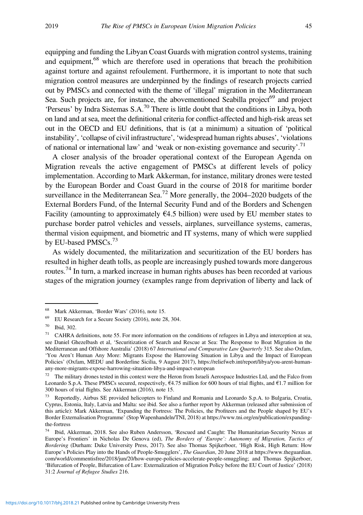equipping and funding the Libyan Coast Guards with migration control systems, training and equipment,<sup>68</sup> which are therefore used in operations that breach the prohibition against torture and against refoulement. Furthermore, it is important to note that such migration control measures are underpinned by the findings of research projects carried out by PMSCs and connected with the theme of 'illegal' migration in the Mediterranean Sea. Such projects are, for instance, the abovementioned Seabilla project<sup>69</sup> and project 'Perseus' by Indra Sistemas S.A.70 There is little doubt that the conditions in Libya, both on land and at sea, meet the definitional criteria for conflict-affected and high-risk areas set out in the OECD and EU definitions, that is (at a minimum) a situation of 'political instability', 'collapse of civil infrastructure', 'widespread human rights abuses', 'violations of national or international law' and 'weak or non-existing governance and security'.<sup>71</sup>

A closer analysis of the broader operational context of the European Agenda on Migration reveals the active engagement of PMSCs at different levels of policy implementation. According to Mark Akkerman, for instance, military drones were tested by the European Border and Coast Guard in the course of 2018 for maritime border surveillance in the Mediterranean Sea.<sup>72</sup> More generally, the  $2004-2020$  budgets of the External Borders Fund, of the Internal Security Fund and of the Borders and Schengen Facility (amounting to approximately  $64.5$  billion) were used by EU member states to purchase border patrol vehicles and vessels, airplanes, surveillance systems, cameras, thermal vision equipment, and biometric and IT systems, many of which were supplied by EU-based PMSCs.<sup>73</sup>

As widely documented, the militarization and securitization of the EU borders has resulted in higher death tolls, as people are increasingly pushed towards more dangerous routes.<sup>74</sup> In turn, a marked increase in human rights abuses has been recorded at various stages of the migration journey (examples range from deprivation of liberty and lack of

<sup>&</sup>lt;sup>68</sup> Mark Akkerman, 'Border Wars' (2016), note 15.<br><sup>69</sup> ELL Research for a Samuel Society (2016) as to 20

 $^{69}$  EU Research for a Secure Society (2016), note 28, 304.<br><sup>70</sup> Ibid 302

 $^{70}$  Ibid, 302.

<sup>71</sup> CAHRA definitions, note 55. For more information on the conditions of refugees in Libya and interception at sea, see Daniel Ghezelbash et al, 'Securitization of Search and Rescue at Sea: The Response to Boat Migration in the Mediterranean and Offshore Australia' (2018) 67 International and Comparative Law Quarterly 315. See also Oxfam, 'You Aren't Human Any More: Migrants Expose the Harrowing Situation in Libya and the Impact of European Policies' (Oxfam, MEDU and Borderline Sicilia, 9 August 2017), [https://reliefweb.int/report/libya/you-arent-human](https://reliefweb.int/report/libya/you-arent-human-any-more-migrants-expose-harrowing-situation-libya-and-impact-european)[any-more-migrants-expose-harrowing-situation-libya-and-impact-european](https://reliefweb.int/report/libya/you-arent-human-any-more-migrants-expose-harrowing-situation-libya-and-impact-european)

 $72$  The military drones tested in this context were the Heron from Israeli Aerospace Industries Ltd, and the Falco from Leonardo S.p.A. These PMSCs secured, respectively,  $64.75$  million for 600 hours of trial flights, and  $61.7$  million for 300 hours of trial flights. See Akkerman (2016), note 15.

<sup>73</sup> Reportedly, Airbus SE provided helicopters to Finland and Romania and Leonardo S.p.A. to Bulgaria, Croatia, Cyprus, Estonia, Italy, Latvia and Malta: see ibid. See also a further report by Akkerman (released after submission of this article): Mark Akkerman, 'Expanding the Fortress: The Policies, the Profiteers and the People shaped by EU's Border Externalisation Programme' (Stop Wapenhandeln/TNI, 2018) at [https://www.tni.org/en/publication/expanding](https://www.tni.org/en/publication/expanding-the-fortress)[the-fortress](https://www.tni.org/en/publication/expanding-the-fortress)

<sup>74</sup> Ibid, Akkerman, 2018. See also Ruben Andersson, 'Rescued and Caught: The Humanitarian-Security Nexus at Europe's Frontiers' in Nicholas De Genova (ed), The Borders of 'Europe': Autonomy of Migration, Tactics of Bordering (Durham: Duke University Press, 2017). See also Thomas Spijkerboer, 'High Risk, High Return: How Europe's Policies Play into the Hands of People-Smugglers', The Guardian, 20 June 2018 at [https://www.theguardian.](https://www.theguardian.com/world/commentisfree/2018/jun/20/how-europe-policies-accelerate-people-smuggling) [com/world/commentisfree/2018/jun/20/how-europe-policies-accelerate-people-smuggling;](https://www.theguardian.com/world/commentisfree/2018/jun/20/how-europe-policies-accelerate-people-smuggling) and Thomas Spijkerboer, 'Bifurcation of People, Bifurcation of Law: Externalization of Migration Policy before the EU Court of Justice' (2018) 31:2 Journal of Refugee Studies 216.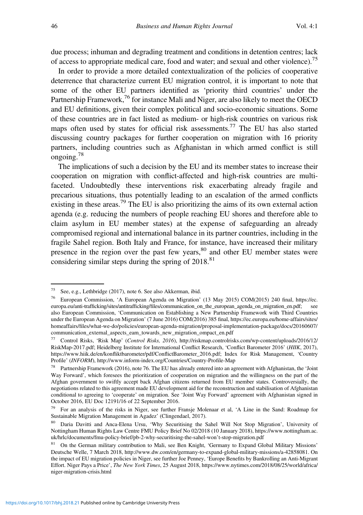due process; inhuman and degrading treatment and conditions in detention centres; lack of access to appropriate medical care, food and water; and sexual and other violence).<sup>75</sup>

In order to provide a more detailed contextualization of the policies of cooperative deterrence that characterize current EU migration control, it is important to note that some of the other EU partners identified as 'priority third countries' under the Partnership Framework,<sup>76</sup> for instance Mali and Niger, are also likely to meet the OECD and EU definitions, given their complex political and socio-economic situations. Some of these countries are in fact listed as medium- or high-risk countries on various risk maps often used by states for official risk assessments.<sup>77</sup> The EU has also started discussing country packages for further cooperation on migration with 16 priority partners, including countries such as Afghanistan in which armed conflict is still ongoing.78

The implications of such a decision by the EU and its member states to increase their cooperation on migration with conflict-affected and high-risk countries are multifaceted. Undoubtedly these interventions risk exacerbating already fragile and precarious situations, thus potentially leading to an escalation of the armed conflicts existing in these areas.<sup>79</sup> The EU is also prioritizing the aims of its own external action agenda (e.g. reducing the numbers of people reaching EU shores and therefore able to claim asylum in EU member states) at the expense of safeguarding an already compromised regional and international balance in its partner countries, including in the fragile Sahel region. Both Italy and France, for instance, have increased their military presence in the region over the past few years,<sup>80</sup> and other EU member states were considering similar steps during the spring of 2018.<sup>81</sup>

<sup>&</sup>lt;sup>75</sup> See, e.g., Lethbridge (2017), note 6. See also Akkerman, ibid.<br><sup>76</sup> European, Commission, 'A European, Agenda on Migration'

<sup>76</sup> European Commission, 'A European Agenda on Migration' (13 May 2015) COM(2015) 240 final, [https://ec.](https://ec.europa.eu/anti-trafficking/sites/antitrafficking/files/communication_on_the_european_agenda_on_migration_en.pdf) europa.eu/anti-trafficking/sites/antitrafficking/fi[les/communication\\_on\\_the\\_european\\_agenda\\_on\\_migration\\_en.pdf](https://ec.europa.eu/anti-trafficking/sites/antitrafficking/files/communication_on_the_european_agenda_on_migration_en.pdf); see also European Commission, 'Communication on Establishing a New Partnership Framework with Third Countries under the European Agenda on Migration' (7 June 2016) COM(2016) 385 final, [https://ec.europa.eu/home-affairs/sites/](https://ec.europa.eu/home-affairs/sites/homeaffairs/files/what-we-do/policies/european-agenda-migration/proposal-implementation-package/docs/20160607/communication_external_aspects_eam_towards_new_migration_ompact_en.pdf) homeaffairs/fi[les/what-we-do/policies/european-agenda-migration/proposal-implementation-package/docs/20160607/](https://ec.europa.eu/home-affairs/sites/homeaffairs/files/what-we-do/policies/european-agenda-migration/proposal-implementation-package/docs/20160607/communication_external_aspects_eam_towards_new_migration_ompact_en.pdf) [communication\\_external\\_aspects\\_eam\\_towards\\_new\\_migration\\_ompact\\_en.pdf](https://ec.europa.eu/home-affairs/sites/homeaffairs/files/what-we-do/policies/european-agenda-migration/proposal-implementation-package/docs/20160607/communication_external_aspects_eam_towards_new_migration_ompact_en.pdf)

<sup>77</sup> Control Risks, 'Risk Map' (Control Risks, 2016), [http://riskmap.controlrisks.com/wp-content/uploads/2016/12/](http://riskmap.controlrisks.com/wp-content/uploads/2016�/�12/RiskMap-2017.pdf) [RiskMap-2017.pdf;](http://riskmap.controlrisks.com/wp-content/uploads/2016�/�12/RiskMap-2017.pdf) Heidelberg Institute for International Conflict Research, 'Conflict Barometer 2016' (HIIK, 2017), [https://www.hiik.de/en/kon](https://www.hiik.de/en/konfliktbarometer/pdf/ConflictBarometer_2016.pdf)fliktbarometer/pdf/ConflictBarometer\_2016.pdf; Index for Risk Management, 'Country Profile' (INFORM), [http://www.inform-index.org/Countries/Country-Pro](http://www.inform-index.org/Countries/Country-Profile-Map)file-Map

Partnership Framework (2016), note 76. The EU has already entered into an agreement with Afghanistan, the 'Joint Way Forward', which foresees the prioritization of cooperation on migration and the willingness on the part of the Afghan government to swiftly accept back Afghan citizens returned from EU member states. Controversially, the negotiations related to this agreement made EU development aid for the reconstruction and stabilisation of Afghanistan conditional to agreeing to 'cooperate' on migration. See 'Joint Way Forward' agreement with Afghanistan signed in October 2016, EU Doc 12191/16 of 22 September 2016.

<sup>79</sup> For an analysis of the risks in Niger, see further Fransje Molenaar et al, 'A Line in the Sand: Roadmap for Sustainable Migration Management in Agadez' (Clingendael, 2017).

<sup>80</sup> Daria Davitti and Anca-Elena Ursu, 'Why Securitising the Sahel Will Not Stop Migration', University of Nottingham Human Rights Law Centre FMU Policy Brief No 02/2018 (10 January 2018), [https://www.nottingham.ac.](https://www.nottingham.ac.uk/hrlc/documents/fmu-policy-brief/pb-2-why-securitising-the-sahel-won’t-stop-migration.pdf) [uk/hrlc/documents/fmu-policy-brief/pb-2-why-securitising-the-sahel-won](https://www.nottingham.ac.uk/hrlc/documents/fmu-policy-brief/pb-2-why-securitising-the-sahel-won’t-stop-migration.pdf)'t-stop-migration.pdf

<sup>&</sup>lt;sup>81</sup> On the German military contribution to Mali, see Ben Knight, 'Germany to Expand Global Military Missions' Deutsche Welle, 7 March 2018, [http://www.dw.com/en/germany-to-expand-global-military-missions/a-42858081.](http://www.dw.com/en/germany-to-expand-global-military-missions/a-42858081) On the impact of EU migration policies in Niger, see further Joe Penney, 'Europe Benefits by Bankrolling an Anti-Migrant Effort. Niger Pays a Price', The New York Times, 25 August 2018, [https://www.nytimes.com/2018/08/25/world/africa/](https://www.nytimes.com/2018�/�08/25/world/africa/niger-migration-crisis.html) [niger-migration-crisis.html](https://www.nytimes.com/2018�/�08/25/world/africa/niger-migration-crisis.html)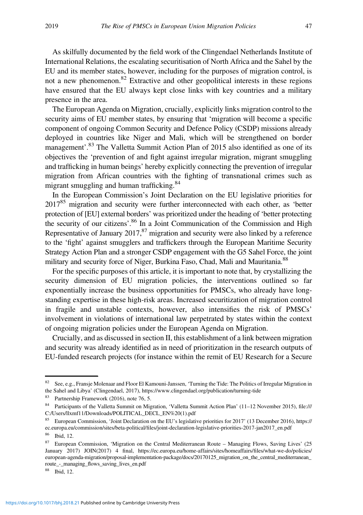As skilfully documented by the field work of the Clingendael Netherlands Institute of International Relations, the escalating securitisation of North Africa and the Sahel by the EU and its member states, however, including for the purposes of migration control, is not a new phenomenon.<sup>82</sup> Extractive and other geopolitical interests in these regions have ensured that the EU always kept close links with key countries and a military presence in the area.

The European Agenda on Migration, crucially, explicitly links migration control to the security aims of EU member states, by ensuring that 'migration will become a specific component of ongoing Common Security and Defence Policy (CSDP) missions already deployed in countries like Niger and Mali, which will be strengthened on border management'.<sup>83</sup> The Valletta Summit Action Plan of 2015 also identified as one of its objectives the 'prevention of and fight against irregular migration, migrant smuggling and trafficking in human beings' hereby explicitly connecting the prevention of irregular migration from African countries with the fighting of transnational crimes such as migrant smuggling and human trafficking.<sup>84</sup>

In the European Commission's Joint Declaration on the EU legislative priorities for 2017<sup>85</sup> migration and security were further interconnected with each other, as 'better protection of [EU] external borders' was prioritized under the heading of 'better protecting the security of our citizens'. <sup>86</sup> In a Joint Communication of the Commission and High Representative of January  $2017$ ,  $87$  migration and security were also linked by a reference to the 'fight' against smugglers and traffickers through the European Maritime Security Strategy Action Plan and a stronger CSDP engagement with the G5 Sahel Force, the joint military and security force of Niger, Burkina Faso, Chad, Mali and Mauritania.<sup>88</sup>

For the specific purposes of this article, it is important to note that, by crystallizing the security dimension of EU migration policies, the interventions outlined so far exponentially increase the business opportunities for PMSCs, who already have longstanding expertise in these high-risk areas. Increased securitization of migration control in fragile and unstable contexts, however, also intensifies the risk of PMSCs' involvement in violations of international law perpetrated by states within the context of ongoing migration policies under the European Agenda on Migration.

Crucially, and as discussed in section II, this establishment of a link between migration and security was already identified as in need of prioritization in the research outputs of EU-funded research projects (for instance within the remit of EU Research for a Secure

<sup>82</sup> See, e.g., Fransje Molenaar and Floor El Kamouni-Janssen, 'Turning the Tide: The Politics of Irregular Migration in the Sahel and Libya' (Clingendael, 2017),<https://www.clingendael.org/publication/turning-tide>

<sup>83</sup> Partnership Framework (2016), note 76, 5.

<sup>84</sup> Participants of the Valletta Summit on Migration, 'Valletta Summit Action Plan' (11-12 November 2015), file:/// C:/Users/llxmf11/Downloads/POLITICAL\_DECL\_EN%20(1).pdf

<sup>85</sup> European Commission, 'Joint Declaration on the EU's legislative priorities for 2017' (13 December 2016), [https://](https://ec.europa.eu/commission/sites/beta-political/files/joint-declaration-legislative-priorities-2017-jan2017_en.pdf) ec.europa.eu/commission/sites/beta-political/fi[les/joint-declaration-legislative-priorities-2017-jan2017\\_en.pdf](https://ec.europa.eu/commission/sites/beta-political/files/joint-declaration-legislative-priorities-2017-jan2017_en.pdf)

<sup>86</sup> Ibid, 12.

<sup>87</sup> European Commission, 'Migration on the Central Mediterranean Route – Managing Flows, Saving Lives' (25 January 2017) JOIN(2017) 4 final, [https://ec.europa.eu/home-affairs/sites/homeaffairs/](https://ec.europa.eu/home-affairs/sites/homeaffairs/files/what-we-do/policies/european-agenda-migration/proposal-implementation-package/docs/20170125_migration_on_the_central_mediterranean_route_-_managing_flows_saving_lives_en.pdf)files/what-we-do/policies/ [european-agenda-migration/proposal-implementation-package/docs/20170125\\_migration\\_on\\_the\\_central\\_mediterranean\\_](https://ec.europa.eu/home-affairs/sites/homeaffairs/files/what-we-do/policies/european-agenda-migration/proposal-implementation-package/docs/20170125_migration_on_the_central_mediterranean_route_-_managing_flows_saving_lives_en.pdf) route\_-\_managing\_fl[ows\\_saving\\_lives\\_en.pdf](https://ec.europa.eu/home-affairs/sites/homeaffairs/files/what-we-do/policies/european-agenda-migration/proposal-implementation-package/docs/20170125_migration_on_the_central_mediterranean_route_-_managing_flows_saving_lives_en.pdf)

<sup>88</sup> Ibid, 12.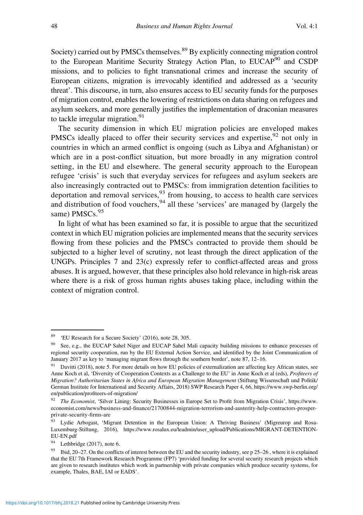Society) carried out by PMSCs themselves.<sup>89</sup> By explicitly connecting migration control to the European Maritime Security Strategy Action Plan, to EUCAP<sup>90</sup> and CSDP missions, and to policies to fight transnational crimes and increase the security of European citizens, migration is irrevocably identified and addressed as a 'security threat'. This discourse, in turn, also ensures access to EU security funds for the purposes of migration control, enables the lowering of restrictions on data sharing on refugees and asylum seekers, and more generally justifies the implementation of draconian measures to tackle irregular migration.<sup>91</sup>

The security dimension in which EU migration policies are enveloped makes PMSCs ideally placed to offer their security services and expertise,  $92$  not only in countries in which an armed conflict is ongoing (such as Libya and Afghanistan) or which are in a post-conflict situation, but more broadly in any migration control setting, in the EU and elsewhere. The general security approach to the European refugee 'crisis' is such that everyday services for refugees and asylum seekers are also increasingly contracted out to PMSCs: from immigration detention facilities to deportation and removal services,  $93$  from housing, to access to health care services and distribution of food vouchers,  $94$  all these 'services' are managed by (largely the same) PMSCs.<sup>95</sup>

In light of what has been examined so far, it is possible to argue that the securitized context in which EU migration policies are implemented means that the security services flowing from these policies and the PMSCs contracted to provide them should be subjected to a higher level of scrutiny, not least through the direct application of the UNGPs. Principles 7 and 23(c) expressly refer to conflict-affected areas and gross abuses. It is argued, however, that these principles also hold relevance in high-risk areas where there is a risk of gross human rights abuses taking place, including within the context of migration control.

<sup>89</sup> 'EU Research for a Secure Society' (2016), note 28, 305.

<sup>&</sup>lt;sup>90</sup> See, e.g., the EUCAP Sahel Niger and EUCAP Sahel Mali capacity building missions to enhance processes of regional security cooperation, run by the EU External Action Service, and identified by the Joint Communication of January 2017 as key to 'managing migrant flows through the southern border', note 87, 12–16.

 $91$  Davitti (2018), note 5. For more details on how EU policies of externalization are affecting key African states, see Anne Koch et al, 'Diversity of Cooperation Contexts as a Challenge to the EU' in Anne Koch et al (eds), Profiteers of Migration? Authoritarian States in Africa and European Migration Management (Stiftung Wissenschaft und Politik/ German Institute for International and Security Affairs, 2018) SWP Research Paper 4, 66, [https://www.swp-berlin.org/](https://www.swp-berlin.org/en/publication/profiteers-of-migration/) en/publication/profi[teers-of-migration/](https://www.swp-berlin.org/en/publication/profiteers-of-migration/)

<sup>92</sup> The Economist, 'Silver Lining: Security Businesses in Europe Set to Profit from Migration Crisis', [https://www.](https://www.economist.com/news/business-and-finance/21700844-migration-terrorism-and-austerity-help-contractors-prosper-private-security-firms-are) economist.com/news/business-and-fi[nance/21700844-migration-terrorism-and-austerity-help-contractors-prosper](https://www.economist.com/news/business-and-finance/21700844-migration-terrorism-and-austerity-help-contractors-prosper-private-security-firms-are)[private-security-](https://www.economist.com/news/business-and-finance/21700844-migration-terrorism-and-austerity-help-contractors-prosper-private-security-firms-are)firms-are

<sup>&</sup>lt;sup>93</sup> Lydie Arbogast, 'Migrant Detention in the European Union: A Thriving Business' (Migreurop and RosaLuxemburg-Stiftung, 2016), [https://www.rosalux.eu/leadmin/user\\_upload/Publications/MIGRANT-DETENTION-](https://www.rosalux.eu/leadmin/user_upload/Publications/MIGRANT-DETENTION-EU-EN.pdf)[EU-EN.pdf](https://www.rosalux.eu/leadmin/user_upload/Publications/MIGRANT-DETENTION-EU-EN.pdf)

 $94$  Lethbridge (2017), note 6.

<sup>&</sup>lt;sup>95</sup> Ibid, 20–27. On the conflicts of interest between the EU and the security industry, see p 25–26, where it is explained that the EU 7th Framework Research Programme (FP7) 'provided funding for several security research projects which are given to research institutes which work in partnership with private companies which produce security systems, for example, Thales, BAE, IAI or EADS'.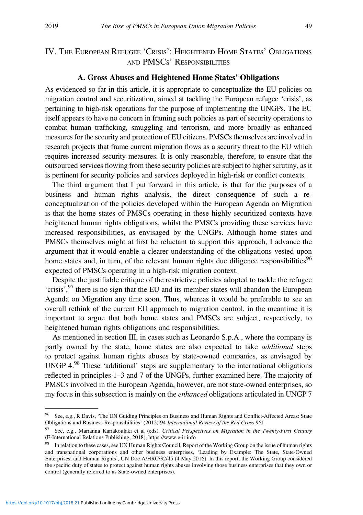# IV. THE EUROPEAN REFUGEE 'CRISIS': HEIGHTENED HOME STATES' OBLIGATIONS AND PMSCS' RESPONSIBILITIES

## A. Gross Abuses and Heightened Home States' Obligations

As evidenced so far in this article, it is appropriate to conceptualize the EU policies on migration control and securitization, aimed at tackling the European refugee 'crisis', as pertaining to high-risk operations for the purpose of implementing the UNGPs. The EU itself appears to have no concern in framing such policies as part of security operations to combat human trafficking, smuggling and terrorism, and more broadly as enhanced measures for the security and protection of EU citizens. PMSCs themselves are involved in research projects that frame current migration flows as a security threat to the EU which requires increased security measures. It is only reasonable, therefore, to ensure that the outsourced services flowing from these security policies are subject to higher scrutiny, as it is pertinent for security policies and services deployed in high-risk or conflict contexts.

The third argument that I put forward in this article, is that for the purposes of a business and human rights analysis, the direct consequence of such a reconceptualization of the policies developed within the European Agenda on Migration is that the home states of PMSCs operating in these highly securitized contexts have heightened human rights obligations, whilst the PMSCs providing these services have increased responsibilities, as envisaged by the UNGPs. Although home states and PMSCs themselves might at first be reluctant to support this approach, I advance the argument that it would enable a clearer understanding of the obligations vested upon home states and, in turn, of the relevant human rights due diligence responsibilities<sup>96</sup> expected of PMSCs operating in a high-risk migration context.

Despite the justifiable critique of the restrictive policies adopted to tackle the refugee 'crisis',<sup>97</sup> there is no sign that the EU and its member states will abandon the European Agenda on Migration any time soon. Thus, whereas it would be preferable to see an overall rethink of the current EU approach to migration control, in the meantime it is important to argue that both home states and PMSCs are subject, respectively, to heightened human rights obligations and responsibilities.

As mentioned in section III, in cases such as Leonardo S.p.A., where the company is partly owned by the state, home states are also expected to take additional steps to protect against human rights abuses by state-owned companies, as envisaged by UNGP  $4.^{98}$  These 'additional' steps are supplementary to the international obligations reflected in principles 1–3 and 7 of the UNGPs, further examined here. The majority of PMSCs involved in the European Agenda, however, are not state-owned enterprises, so my focus in this subsection is mainly on the *enhanced* obligations articulated in UNGP 7

See, e.g., R Davis, 'The UN Guiding Principles on Business and Human Rights and Conflict-Affected Areas: State Obligations and Business Responsibilities' (2012) 94 International Review of the Red Cross 961.

See, e.g., Marianna Kariakoulaki et al (eds), Critical Perspectives on Migration in the Twenty-First Century (E-International Relations Publishing, 2018),<https://www.e-ir.info>

<sup>&</sup>lt;sup>98</sup> In relation to these cases, see UN Human Rights Council, Report of the Working Group on the issue of human rights and transnational corporations and other business enterprises, 'Leading by Example: The State, State-Owned Enterprises, and Human Rights', UN Doc A/HRC/32/45 (4 May 2016). In this report, the Working Group considered the specific duty of states to protect against human rights abuses involving those business enterprises that they own or control (generally referred to as State-owned enterprises).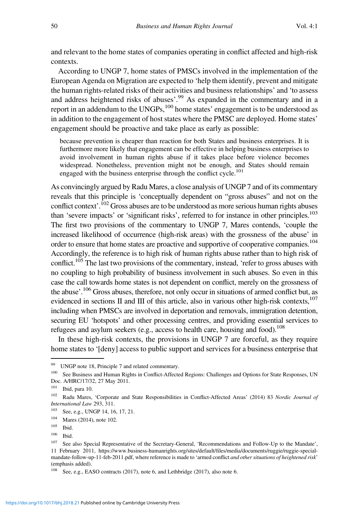and relevant to the home states of companies operating in conflict affected and high-risk contexts.

According to UNGP 7, home states of PMSCs involved in the implementation of the European Agenda on Migration are expected to 'help them identify, prevent and mitigate the human rights-related risks of their activities and business relationships' and 'to assess and address heightened risks of abuses'.<sup>99</sup> As expanded in the commentary and in a report in an addendum to the UNGPs,<sup>100</sup> home states' engagement is to be understood as in addition to the engagement of host states where the PMSC are deployed. Home states' engagement should be proactive and take place as early as possible:

because prevention is cheaper than reaction for both States and business enterprises. It is furthermore more likely that engagement can be effective in helping business enterprises to avoid involvement in human rights abuse if it takes place before violence becomes widespread. Nonetheless, prevention might not be enough, and States should remain engaged with the business enterprise through the conflict cycle.<sup>101</sup>

As convincingly argued by Radu Mares, a close analysis of UNGP 7 and of its commentary reveals that this principle is 'conceptually dependent on "gross abuses" and not on the conflict context'. <sup>102</sup> Gross abuses are to be understood as more serious human rights abuses than 'severe impacts' or 'significant risks', referred to for instance in other principles.<sup>103</sup> The first two provisions of the commentary to UNGP 7, Mares contends, 'couple the increased likelihood of occurrence (high-risk areas) with the grossness of the abuse' in order to ensure that home states are proactive and supportive of cooperative companies.<sup>104</sup> Accordingly, the reference is to high risk of human rights abuse rather than to high risk of conflict.<sup>105</sup> The last two provisions of the commentary, instead, 'refer to gross abuses with no coupling to high probability of business involvement in such abuses. So even in this case the call towards home states is not dependent on conflict, merely on the grossness of the abuse'.<sup>106</sup> Gross abuses, therefore, not only occur in situations of armed conflict but, as evidenced in sections II and III of this article, also in various other high-risk contexts, $107$ including when PMSCs are involved in deportation and removals, immigration detention, securing EU 'hotspots' and other processing centres, and providing essential services to refugees and asylum seekers (e.g., access to health care, housing and food).<sup>108</sup>

In these high-risk contexts, the provisions in UNGP 7 are forceful, as they require home states to '[deny] access to public support and services for a business enterprise that

<sup>99</sup> UNGP note 18, Principle 7 and related commentary.

<sup>&</sup>lt;sup>100</sup> See Business and Human Rights in Conflict-Affected Regions: Challenges and Options for State Responses, UN Doc. A/HRC/17/32, 27 May 2011.

 $\frac{101}{102}$  Ibid, para 10.

Radu Mares, 'Corporate and State Responsibilities in Conflict-Affected Areas' (2014) 83 Nordic Journal of International Law 293, 311.

<sup>103</sup> See, e.g., UNGP 14, 16, 17, 21.

 $\frac{104}{105}$  Mares (2014), note 102.

 $\frac{105}{106}$  Ibid.

Ibid.

<sup>107</sup> See also Special Representative of the Secretary-General, 'Recommendations and Follow-Up to the Mandate', 11 February 2011, [https://www.business-humanrights.org/sites/default/](https://www.business-humanrights.org/sites/default/files/media/documents/ruggie/ruggie-special-mandate-follow-up-11-feb-2011.pdf)files/media/documents/ruggie/ruggie-special[mandate-follow-up-11-feb-2011.pdf](https://www.business-humanrights.org/sites/default/files/media/documents/ruggie/ruggie-special-mandate-follow-up-11-feb-2011.pdf), where reference is made to 'armed conflict and other situations of heightened risk' (emphasis added).

<sup>108</sup> See, e.g., EASO contracts (2017), note 6, and Lethbridge (2017), also note 6.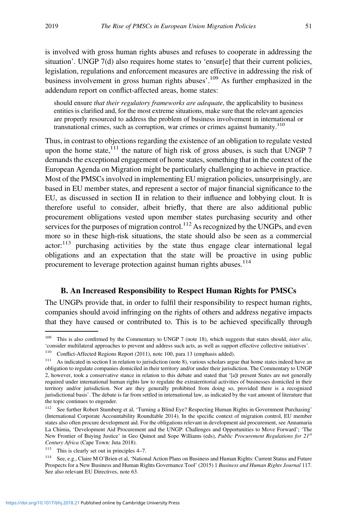is involved with gross human rights abuses and refuses to cooperate in addressing the situation'. UNGP 7(d) also requires home states to 'ensur[e] that their current policies, legislation, regulations and enforcement measures are effective in addressing the risk of business involvement in gross human rights abuses'.<sup>109</sup> As further emphasized in the addendum report on conflict-affected areas, home states:

should ensure *that their regulatory frameworks are adequate*, the applicability to business entities is clarified and, for the most extreme situations, make sure that the relevant agencies are properly resourced to address the problem of business involvement in international or transnational crimes, such as corruption, war crimes or crimes against humanity.<sup>110</sup>

Thus, in contrast to objections regarding the existence of an obligation to regulate vested upon the home state, $^{111}$  the nature of high risk of gross abuses, is such that UNGP 7 demands the exceptional engagement of home states, something that in the context of the European Agenda on Migration might be particularly challenging to achieve in practice. Most of the PMSCs involved in implementing EU migration policies, unsurprisingly, are based in EU member states, and represent a sector of major financial significance to the EU, as discussed in section II in relation to their influence and lobbying clout. It is therefore useful to consider, albeit briefly, that there are also additional public procurement obligations vested upon member states purchasing security and other services for the purposes of migration control.<sup>112</sup> As recognized by the UNGPs, and even more so in these high-risk situations, the state should also be seen as a commercial  $\arctan x$ <sup>113</sup> purchasing activities by the state thus engage clear international legal obligations and an expectation that the state will be proactive in using public procurement to leverage protection against human rights abuses.  $114$ 

## B. An Increased Responsibility to Respect Human Rights for PMSCs

The UNGPs provide that, in order to fulfil their responsibility to respect human rights, companies should avoid infringing on the rights of others and address negative impacts that they have caused or contributed to. This is to be achieved specifically through

<sup>&</sup>lt;sup>109</sup> This is also confirmed by the Commentary to UNGP 7 (note 18), which suggests that states should, *inter alia*, 'consider multilateral approaches to prevent and address such acts, as well as support effective collective initiatives'.

<sup>&</sup>lt;sup>110</sup> Conflict-Affected Regions Report (2011), note 100, para 13 (emphasis added).<br><sup>111</sup> As indicated in section I in relation to invictiition (note 8), various scholars are

As indicated in section I in relation to jurisdiction (note 8), various scholars argue that home states indeed have an obligation to regulate companies domiciled in their territory and/or under their jurisdiction. The Commentary to UNGP 2, however, took a conservative stance in relation to this debate and stated that '[a]t present States are not generally required under international human rights law to regulate the extraterritorial activities of businesses domiciled in their territory and/or jurisdiction. Nor are they generally prohibited from doing so, provided there is a recognized jurisdictional basis'. The debate is far from settled in international law, as indicated by the vast amount of literature that the topic continues to engender.

<sup>112</sup> See further Robert Stumberg et al, 'Turning a Blind Eye? Respecting Human Rights in Government Purchasing' (International Corporate Accountability Roundtable 2014). In the specific context of migration control, EU member states also often procure development aid. For the obligations relevant in development aid procurement, see Annamaria La Chimia, 'Development Aid Procurement and the UNGP: Challenges and Opportunities to Move Forward'; 'The New Frontier of Buying Justice' in Geo Quinot and Sope Williams (eds), Public Procurement Regulations for 21st Century Africa (Cape Town: Juta 2018).

<sup>113</sup> This is clearly set out in principles 4–7.

<sup>114</sup> See, e.g., Claire M O'Brien et al, 'National Action Plans on Business and Human Rights: Current Status and Future Prospects for a New Business and Human Rights Governance Tool' (2015) 1 Business and Human Rights Journal 117. See also relevant EU Directives, note 63.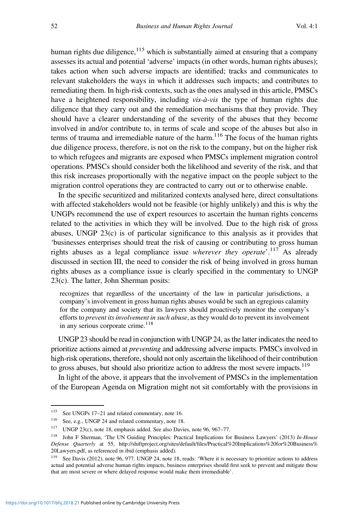human rights due diligence,  $115$  which is substantially aimed at ensuring that a company assesses its actual and potential 'adverse' impacts (in other words, human rights abuses); takes action when such adverse impacts are identified; tracks and communicates to relevant stakeholders the ways in which it addresses such impacts; and contributes to remediating them. In high-risk contexts, such as the ones analysed in this article, PMSCs have a heightened responsibility, including *vis-à-vis* the type of human rights due diligence that they carry out and the remediation mechanisms that they provide. They should have a clearer understanding of the severity of the abuses that they become involved in and/or contribute to, in terms of scale and scope of the abuses but also in terms of trauma and irremediable nature of the harm.<sup>116</sup> The focus of the human rights due diligence process, therefore, is not on the risk to the company, but on the higher risk to which refugees and migrants are exposed when PMSCs implement migration control operations. PMSCs should consider both the likelihood and severity of the risk, and that this risk increases proportionally with the negative impact on the people subject to the migration control operations they are contracted to carry out or to otherwise enable.

In the specific securitized and militarized contexts analysed here, direct consultations with affected stakeholders would not be feasible (or highly unlikely) and this is why the UNGPs recommend the use of expert resources to ascertain the human rights concerns related to the activities in which they will be involved. Due to the high risk of gross abuses, UNGP 23(c) is of particular significance to this analysis as it provides that 'businesses enterprises should treat the risk of causing or contributing to gross human rights abuses as a legal compliance issue wherever they operate<sup> $117$ </sup> As already discussed in section III, the need to consider the risk of being involved in gross human rights abuses as a compliance issue is clearly specified in the commentary to UNGP 23(c). The latter, John Sherman posits:

recognizes that regardless of the uncertainty of the law in particular jurisdictions, a company's involvement in gross human rights abuses would be such an egregious calamity for the company and society that its lawyers should proactively monitor the company's efforts to prevent its involvement in such abuse, as they would do to prevent its involvement in any serious corporate crime.<sup>118</sup>

UNGP 23 should be read in conjunction with UNGP 24, as the latter indicates the need to prioritize actions aimed at *preventing* and addressing adverse impacts. PMSCs involved in high-risk operations, therefore, should not only ascertain the likelihood of their contribution to gross abuses, but should also prioritize action to address the most severe impacts.<sup>119</sup>

In light of the above, it appears that the involvement of PMSCs in the implementation of the European Agenda on Migration might not sit comfortably with the provisions in

<sup>115</sup> See UNGPs 17–21 and related commentary, note 16.

<sup>&</sup>lt;sup>116</sup> See, e.g., UNGP 24 and related commentary, note 18.<br><sup>117</sup> UNGP 23(c), note 18, emphasis added. See also David

UNGP 23(c), note 18, emphasis added. See also Davies, note 96, 967–77.

<sup>&</sup>lt;sup>118</sup> John F Sherman, 'The UN Guiding Principles: Practical Implications for Business Lawyers' (2013) In-House Defense Quarterly at 55, http://shiftproject.org/sites/default/fi[les/Practical%20Implications%20for%20Business%](http://shiftproject.org/sites/default/files/Practical%20Implications%20for%20Business%20Lawyers.pdf) [20Lawyers.pdf](http://shiftproject.org/sites/default/files/Practical%20Implications%20for%20Business%20Lawyers.pdf), as referenced in ibid (emphasis added).

<sup>&</sup>lt;sup>119</sup> See Davis (2012), note 96, 977. UNGP 24, note 18, reads: 'Where it is necessary to prioritize actions to address actual and potential adverse human rights impacts, business enterprises should first seek to prevent and mitigate those that are most severe or where delayed response would make them irremediable'.